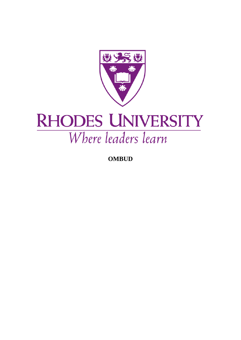

## **RHODES UNIVERSITY** Where leaders learn

**OMBUD**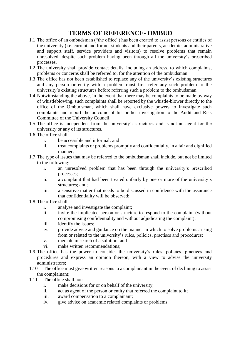## **TERMS OF REFERENCE- OMBUD**

- 1.1 The office of an ombudsman ("the office") has been created to assist persons or entities of the university (i.e. current and former students and their parents, academic, administrative and support staff, service providers and visitors) to resolve problems that remain unresolved, despite such problem having been through all the university's prescribed processes.
- 1.2 The university shall provide contact details, including an address, to which complaints, problems or concerns shall be referred to, for the attention of the ombudsman.
- 1.3 The office has not been established to replace any of the university's existing structures and any person or entity with a problem must first refer any such problem to the university's existing structures before referring such a problem to the ombudsman.
- 1.4 Notwithstanding the above, in the event that there may be complaints to be made by way of whistleblowing, such complaints shall be reported by the whistle-blower directly to the office of the Ombudsman, which shall have exclusive powers to investigate such complaints and report the outcome of his or her investigation to the Audit and Risk Committee of the University Council.
- 1.5 The office is independent from the university's structures and is not an agent for the university or any of its structures.
- 1.6 The office shall:
	- i. be accessible and informal; and
	- ii. treat complaints or problems promptly and confidentially, in a fair and dignified manner;
- 1.7 The type of issues that may be referred to the ombudsman shall include, but not be limited to the following:
	- i. an unresolved problem that has been through the university's prescribed processes;
	- ii. a complaint that had been treated unfairly by one or more of the university's structures; and;
	- iii. a sensitive matter that needs to be discussed in confidence with the assurance that confidentiality will be observed;
- 1.8 The office shall:
	- i. analyse and investigate the complaint;
	- ii. invite the implicated person or structure to respond to the complaint (without compromising confidentiality and without adjudicating the complaint);
	- iii. identify the issues;
	- iv. provide advice and guidance on the manner in which to solve problems arising from or related to the university's rules, policies, practises and procedures;
	- v. mediate in search of a solution, and
	- vi. make written recommendations;
- 1.9 The office has the power to consider the university's rules, policies, practices and procedures and express an opinion thereon, with a view to advise the university administrators;
- 1.10 The office must give written reasons to a complainant in the event of declining to assist the complainant;
- 1.11 The office shall not:
	- i. make decisions for or on behalf of the university;
	- ii. act as agent of the person or entity that referred the complaint to it;
	- iii. award compensation to a complainant;
	- iv. give advice on academic related complaints or problems;